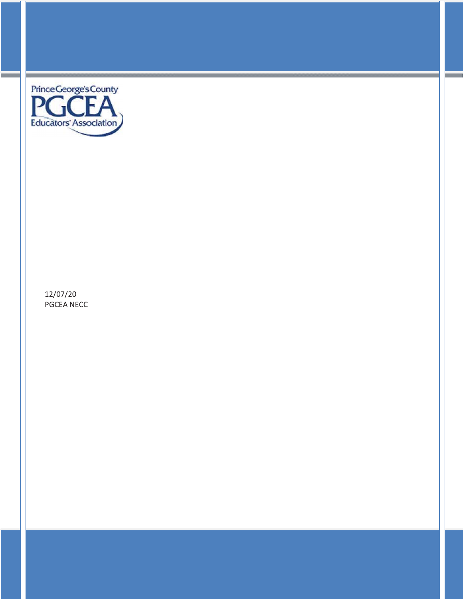

12/07/20 PGCEA NECC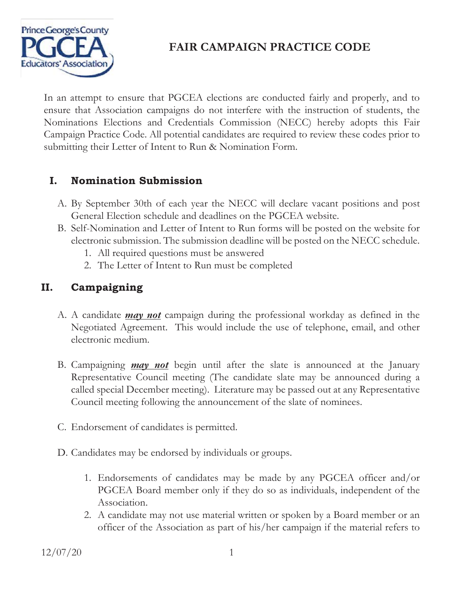

In an attempt to ensure that PGCEA elections are conducted fairly and properly, and to ensure that Association campaigns do not interfere with the instruction of students, the Nominations Elections and Credentials Commission (NECC) hereby adopts this Fair Campaign Practice Code. All potential candidates are required to review these codes prior to submitting their Letter of Intent to Run & Nomination Form.

## **I. Nomination Submission**

- A. By September 30th of each year the NECC will declare vacant positions and post General Election schedule and deadlines on the PGCEA website.
- B. Self-Nomination and Letter of Intent to Run forms will be posted on the website for electronic submission. The submission deadline will be posted on the NECC schedule.
	- 1. All required questions must be answered
	- 2. The Letter of Intent to Run must be completed

## **II. Campaigning**

- A. A candidate *may not* campaign during the professional workday as defined in the Negotiated Agreement. This would include the use of telephone, email, and other electronic medium.
- B. Campaigning *may not* begin until after the slate is announced at the January Representative Council meeting (The candidate slate may be announced during a called special December meeting). Literature may be passed out at any Representative Council meeting following the announcement of the slate of nominees.
- C. Endorsement of candidates is permitted.
- D. Candidates may be endorsed by individuals or groups.
	- 1. Endorsements of candidates may be made by any PGCEA officer and/or PGCEA Board member only if they do so as individuals, independent of the Association.
	- 2. A candidate may not use material written or spoken by a Board member or an officer of the Association as part of his/her campaign if the material refers to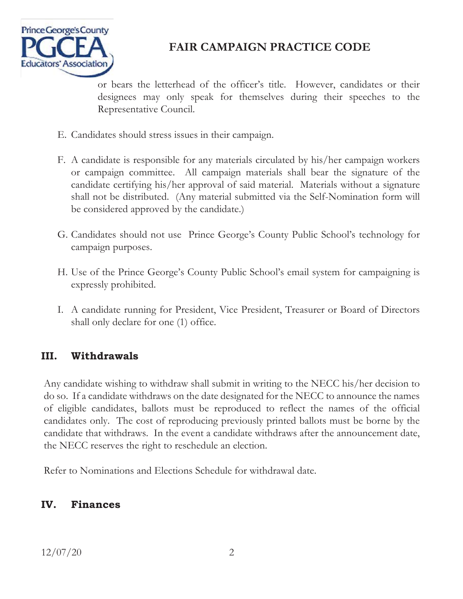

or bears the letterhead of the officer's title. However, candidates or their designees may only speak for themselves during their speeches to the Representative Council.

- E. Candidates should stress issues in their campaign.
- F. A candidate is responsible for any materials circulated by his/her campaign workers or campaign committee. All campaign materials shall bear the signature of the candidate certifying his/her approval of said material. Materials without a signature shall not be distributed. (Any material submitted via the Self-Nomination form will be considered approved by the candidate.)
- G. Candidates should not use Prince George's County Public School's technology for campaign purposes.
- H. Use of the Prince George's County Public School's email system for campaigning is expressly prohibited.
- I. A candidate running for President, Vice President, Treasurer or Board of Directors shall only declare for one (1) office.

## **III. Withdrawals**

Any candidate wishing to withdraw shall submit in writing to the NECC his/her decision to do so. If a candidate withdraws on the date designated for the NECC to announce the names of eligible candidates, ballots must be reproduced to reflect the names of the official candidates only. The cost of reproducing previously printed ballots must be borne by the candidate that withdraws. In the event a candidate withdraws after the announcement date, the NECC reserves the right to reschedule an election.

Refer to Nominations and Elections Schedule for withdrawal date.

#### **IV. Finances**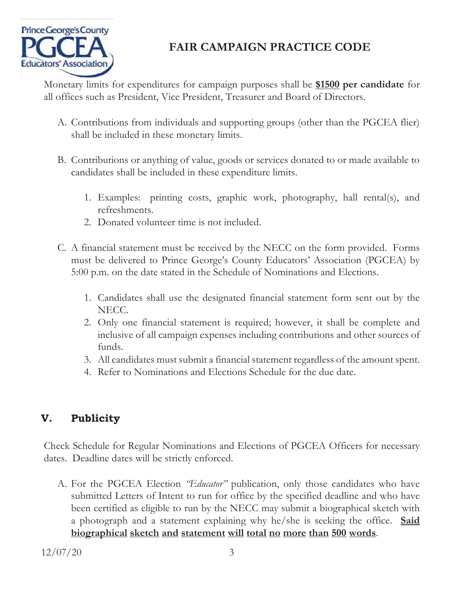

Monetary limits for expenditures for campaign purposes shall be **\$1500 per candidate** for all offices such as President, Vice President, Treasurer and Board of Directors.

- A. Contributions from individuals and supporting groups (other than the PGCEA flier) shall be included in these monetary limits.
- B. Contributions or anything of value, goods or services donated to or made available to candidates shall be included in these expenditure limits.
	- 1. Examples: printing costs, graphic work, photography, hall rental(s), and refreshments.
	- 2. Donated volunteer time is not included.
- C. A financial statement must be received by the NECC on the form provided. Forms must be delivered to Prince George's County Educators' Association (PGCEA) by 5:00 p.m. on the date stated in the Schedule of Nominations and Elections.
	- 1. Candidates shall use the designated financial statement form sent out by the NECC.
	- 2. Only one financial statement is required; however, it shall be complete and inclusive of all campaign expenses including contributions and other sources of funds.
	- 3. All candidates must submit a financial statement regardless of the amount spent.
	- 4. Refer to Nominations and Elections Schedule for the due date.

## **V. Publicity**

Check Schedule for Regular Nominations and Elections of PGCEA Officers for necessary dates. Deadline dates will be strictly enforced.

A. For the PGCEA Election *"Educator"* publication, only those candidates who have submitted Letters of Intent to run for office by the specified deadline and who have been certified as eligible to run by the NECC may submit a biographical sketch with a photograph and a statement explaining why he/she is seeking the office. **Said biographical sketch and statement will total no more than 500 words**.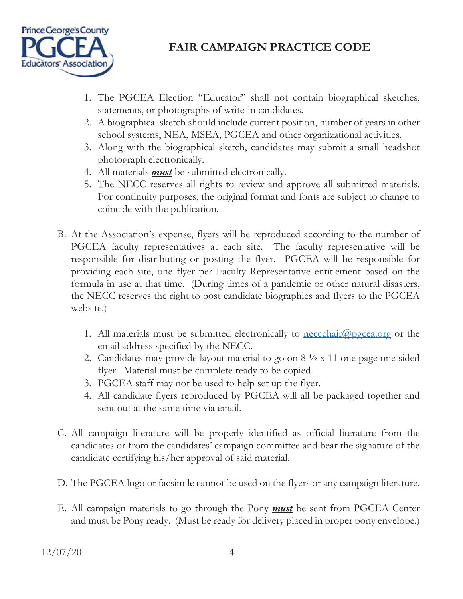

- 1. The PGCEA Election "Educator" shall not contain biographical sketches, statements, or photographs of write-in candidates.
- 2. A biographical sketch should include current position, number of years in other school systems, NEA, MSEA, PGCEA and other organizational activities.
- 3. Along with the biographical sketch, candidates may submit a small headshot photograph electronically.
- 4. All materials *must* be submitted electronically.
- 5. The NECC reserves all rights to review and approve all submitted materials. For continuity purposes, the original format and fonts are subject to change to coincide with the publication.
- B. At the Association's expense, flyers will be reproduced according to the number of PGCEA faculty representatives at each site. The faculty representative will be responsible for distributing or posting the flyer. PGCEA will be responsible for providing each site, one flyer per Faculty Representative entitlement based on the formula in use at that time. (During times of a pandemic or other natural disasters, the NECC reserves the right to post candidate biographies and flyers to the PGCEA website.)
	- 1. All materials must be submitted electronically to <u>neccchair@pgcea.org</u> or the email address specified by the NECC.
	- 2. Candidates may provide layout material to go on 8 ½ x 11 one page one sided flyer. Material must be complete ready to be copied.
	- 3. PGCEA staff may not be used to help set up the flyer.
	- 4. All candidate flyers reproduced by PGCEA will all be packaged together and sent out at the same time via email.
- C. All campaign literature will be properly identified as official literature from the candidates or from the candidates' campaign committee and bear the signature of the candidate certifying his/her approval of said material.
- D. The PGCEA logo or facsimile cannot be used on the flyers or any campaign literature.
- E. All campaign materials to go through the Pony *must* be sent from PGCEA Center and must be Pony ready. (Must be ready for delivery placed in proper pony envelope.)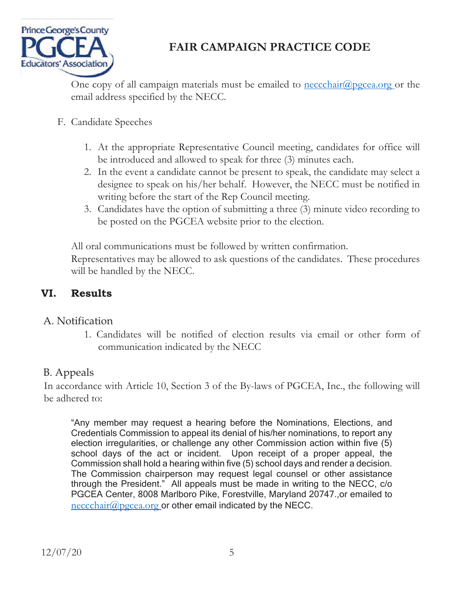

One copy of all campaign materials must be emailed to  $\frac{\text{necchain}(a)\text{pseca.org}}{\text{neccati}}$  or the email address specified by the NECC.

- F. Candidate Speeches
	- 1. At the appropriate Representative Council meeting, candidates for office will be introduced and allowed to speak for three (3) minutes each.
	- 2. In the event a candidate cannot be present to speak, the candidate may select a designee to speak on his/her behalf. However, the NECC must be notified in writing before the start of the Rep Council meeting.
	- 3. Candidates have the option of submitting a three (3) minute video recording to be posted on the PGCEA website prior to the election.

All oral communications must be followed by written confirmation.

Representatives may be allowed to ask questions of the candidates. These procedures will be handled by the NECC.

#### **VI. Results**

#### A. Notification

1. Candidates will be notified of election results via email or other form of communication indicated by the NECC

### B. Appeals

In accordance with Article 10, Section 3 of the By-laws of PGCEA, Inc., the following will be adhered to:

"Any member may request a hearing before the Nominations, Elections, and Credentials Commission to appeal its denial of his/her nominations, to report any election irregularities, or challenge any other Commission action within five (5) school days of the act or incident. Upon receipt of a proper appeal, the Commission shall hold a hearing within five (5) school days and render a decision. The Commission chairperson may request legal counsel or other assistance through the President." All appeals must be made in writing to the NECC, c/o PGCEA Center, 8008 Marlboro Pike, Forestville, Maryland 20747.,or emailed to neccchair@pgcea.org or other email indicated by the NECC.